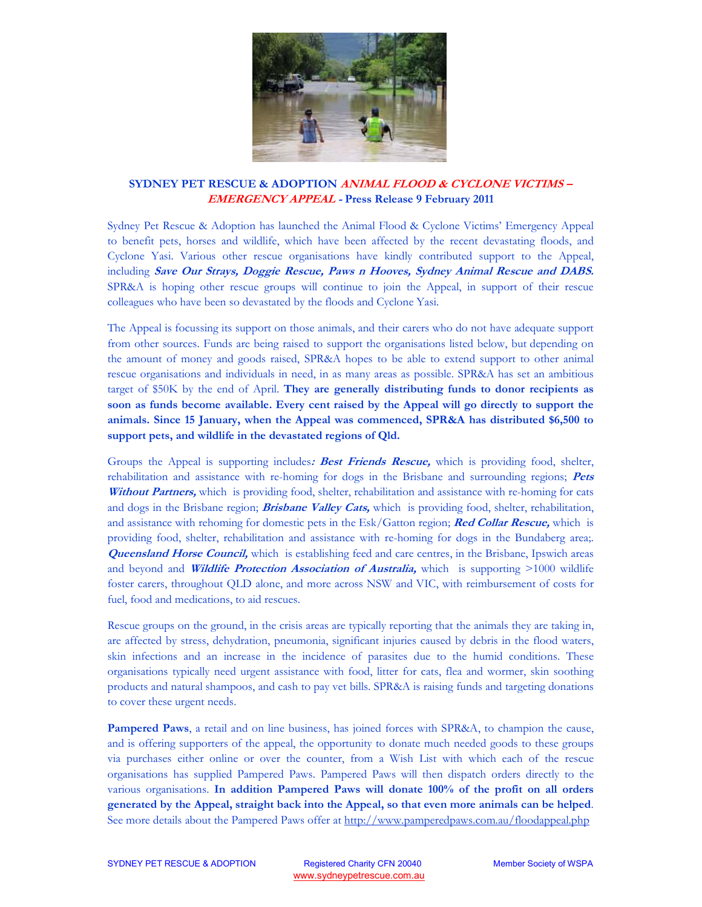

## **SYDNEY PET RESCUE & ADOPTION ANIMAL FLOOD & CYCLONE VICTIMS – EMERGENCY APPEAL - Press Release 9 February 2011**

Sydney Pet Rescue & Adoption has launched the Animal Flood & Cyclone Victims' Emergency Appeal to benefit pets, horses and wildlife, which have been affected by the recent devastating floods, and Cyclone Yasi. Various other rescue organisations have kindly contributed support to the Appeal, including **Save Our Strays, Doggie Rescue, Paws n Hooves, Sydney Animal Rescue and DABS.** SPR&A is hoping other rescue groups will continue to join the Appeal, in support of their rescue colleagues who have been so devastated by the floods and Cyclone Yasi.

The Appeal is focussing its support on those animals, and their carers who do not have adequate support from other sources. Funds are being raised to support the organisations listed below, but depending on the amount of money and goods raised, SPR&A hopes to be able to extend support to other animal rescue organisations and individuals in need, in as many areas as possible. SPR&A has set an ambitious target of \$50K by the end of April. **They are generally distributing funds to donor recipients as soon as funds become available. Every cent raised by the Appeal will go directly to support the animals. Since 15 January, when the Appeal was commenced, SPR&A has distributed \$6,500 to support pets, and wildlife in the devastated regions of Qld.** 

Groups the Appeal is supporting includes**: Best Friends Rescue,** which is providing food, shelter, rehabilitation and assistance with re-homing for dogs in the Brisbane and surrounding regions; **Pets Without Partners,** which is providing food, shelter, rehabilitation and assistance with re-homing for cats and dogs in the Brisbane region; **Brisbane Valley Cats,** which is providing food, shelter, rehabilitation, and assistance with rehoming for domestic pets in the Esk/Gatton region; **Red Collar Rescue,** which is providing food, shelter, rehabilitation and assistance with re-homing for dogs in the Bundaberg area;. **Queensland Horse Council,** which is establishing feed and care centres, in the Brisbane, Ipswich areas and beyond and **Wildlife Protection Association of Australia,** which is supporting >1000 wildlife foster carers, throughout QLD alone, and more across NSW and VIC, with reimbursement of costs for fuel, food and medications, to aid rescues.

Rescue groups on the ground, in the crisis areas are typically reporting that the animals they are taking in, are affected by stress, dehydration, pneumonia, significant injuries caused by debris in the flood waters, skin infections and an increase in the incidence of parasites due to the humid conditions. These organisations typically need urgent assistance with food, litter for cats, flea and wormer, skin soothing products and natural shampoos, and cash to pay vet bills. SPR&A is raising funds and targeting donations to cover these urgent needs.

**Pampered Paws**, a retail and on line business, has joined forces with SPR&A, to champion the cause, and is offering supporters of the appeal, the opportunity to donate much needed goods to these groups via purchases either online or over the counter, from a Wish List with which each of the rescue organisations has supplied Pampered Paws. Pampered Paws will then dispatch orders directly to the various organisations. **In addition Pampered Paws will donate 100% of the profit on all orders generated by the Appeal, straight back into the Appeal, so that even more animals can be helped**. See more details about the Pampered Paws offer at http://www.pamperedpaws.com.au/floodappeal.php